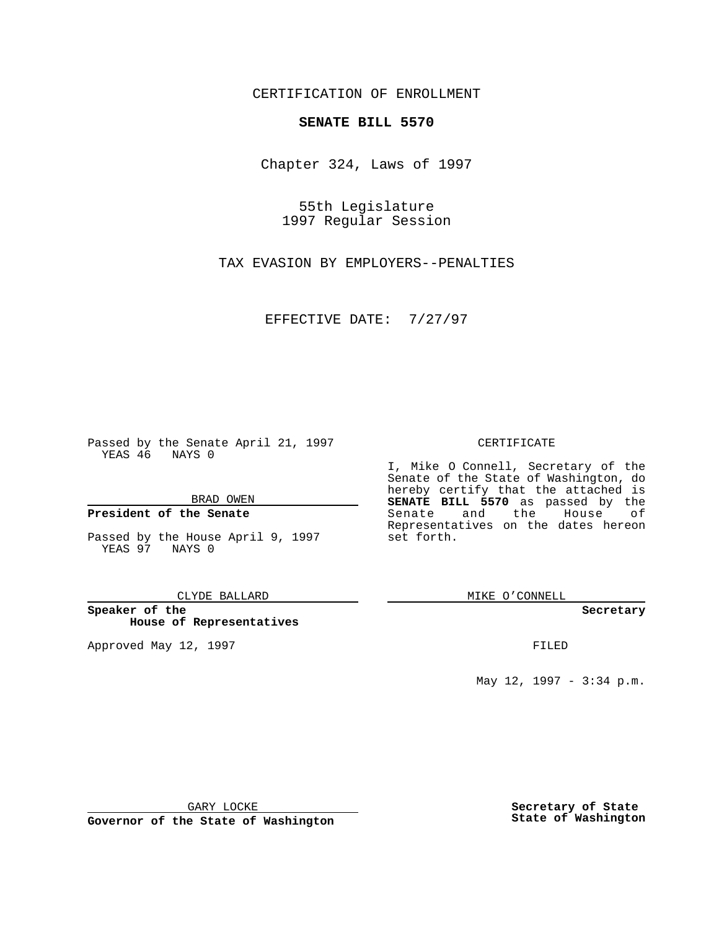CERTIFICATION OF ENROLLMENT

# **SENATE BILL 5570**

Chapter 324, Laws of 1997

55th Legislature 1997 Regular Session

TAX EVASION BY EMPLOYERS--PENALTIES

EFFECTIVE DATE: 7/27/97

Passed by the Senate April 21, 1997 YEAS 46 NAYS 0

BRAD OWEN

## **President of the Senate**

Passed by the House April 9, 1997 YEAS 97 NAYS 0

#### CLYDE BALLARD

**Speaker of the House of Representatives**

Approved May 12, 1997 **FILED** 

### CERTIFICATE

I, Mike O Connell, Secretary of the Senate of the State of Washington, do hereby certify that the attached is **SENATE BILL 5570** as passed by the Senate and the House of Representatives on the dates hereon set forth.

MIKE O'CONNELL

#### **Secretary**

May 12, 1997 - 3:34 p.m.

GARY LOCKE

**Governor of the State of Washington**

**Secretary of State State of Washington**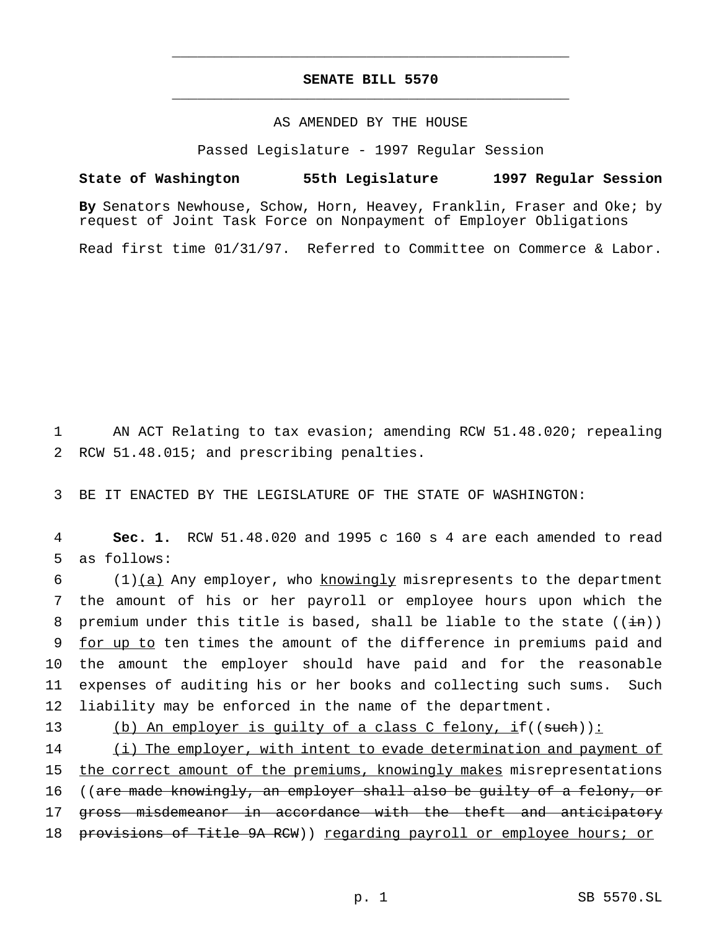# **SENATE BILL 5570** \_\_\_\_\_\_\_\_\_\_\_\_\_\_\_\_\_\_\_\_\_\_\_\_\_\_\_\_\_\_\_\_\_\_\_\_\_\_\_\_\_\_\_\_\_\_\_

\_\_\_\_\_\_\_\_\_\_\_\_\_\_\_\_\_\_\_\_\_\_\_\_\_\_\_\_\_\_\_\_\_\_\_\_\_\_\_\_\_\_\_\_\_\_\_

# AS AMENDED BY THE HOUSE

Passed Legislature - 1997 Regular Session

## **State of Washington 55th Legislature 1997 Regular Session**

**By** Senators Newhouse, Schow, Horn, Heavey, Franklin, Fraser and Oke; by request of Joint Task Force on Nonpayment of Employer Obligations

Read first time 01/31/97. Referred to Committee on Commerce & Labor.

1 AN ACT Relating to tax evasion; amending RCW 51.48.020; repealing 2 RCW 51.48.015; and prescribing penalties.

3 BE IT ENACTED BY THE LEGISLATURE OF THE STATE OF WASHINGTON:

4 **Sec. 1.** RCW 51.48.020 and 1995 c 160 s 4 are each amended to read 5 as follows:

6 (1)(a) Any employer, who knowingly misrepresents to the department 7 the amount of his or her payroll or employee hours upon which the 8 premium under this title is based, shall be liable to the state  $((\pm n))$ 9 for up to ten times the amount of the difference in premiums paid and 10 the amount the employer should have paid and for the reasonable 11 expenses of auditing his or her books and collecting such sums. Such 12 liability may be enforced in the name of the department.

13 (b) An employer is quilty of a class C felony, if((such)): 14 (i) The employer, with intent to evade determination and payment of 15 the correct amount of the premiums, knowingly makes misrepresentations 16 ((are made knowingly, an employer shall also be quilty of a felony, or 17 gross misdemeanor in accordance with the theft and anticipatory 18 provisions of Title 9A RCW)) regarding payroll or employee hours; or